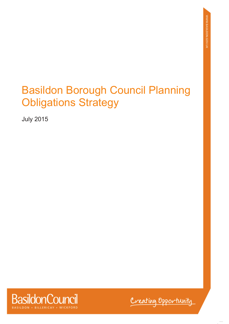# Basildon Borough Council Planning Obligations Strategy

July 2015



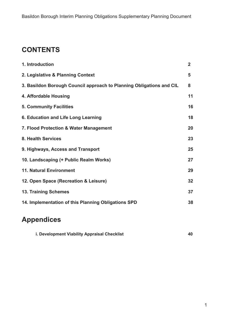# **CONTENTS**

| $\overline{2}$ |
|----------------|
| 5              |
| 8              |
| 11             |
| 16             |
| 18             |
| 20             |
| 23             |
| 25             |
| 27             |
| 29             |
| 32             |
| 37             |
| 38             |
|                |

# **Appendices**

| i. Development Viability Appraisal Checklist |  |
|----------------------------------------------|--|
|----------------------------------------------|--|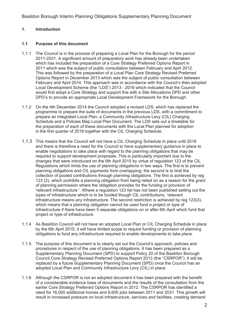#### **1. Introduction**

#### **1.1 Purpose of this document**

- 1.1.1 The Council is in the process of preparing a Local Plan for the Borough for the period 2011-2031. A significant amount of preparatory work has already been undertaken which has included the preparation of a Core Strategy Preferred Options Report in 2011 which was the subject of public consultation between February and April 2012. This was followed by the preparation of a Local Plan Core Strategy Revised Preferred Options Report in December 2013 which was the subject of public consultation between February and April 2014. This approach was in accordance with the Council's then adopted Local Development Scheme (the "LDS") 2013 - 2016 which indicated that the Council would first adopt a Core Strategy and support this with a Site Allocations DPD and other DPD's to provide an appropriate Local Development Framework for the Borough.
- 1.1.2 On the 4th December 2014 the Council adopted a revised LDS, which has replaced the programme to prepare the suite of documents in the previous LDS, with a commitment to prepare an integrated Local Plan, a Community Infrastructure Levy (CIL) Charging Schedule and a Policies Map Local Plan Document. The LDS sets out a timetable for the preparation of each of these documents with the Local Plan planned for adoption in the first quarter of 2018 together with the CIL Charging Schedule.
- 1.1.3 This means that the Council will not have a CIL Charging Schedule in place until 2018 and there is therefore a need for the Council to have supplementary guidance in place to enable negotiations to take place with regard to the planning obligations that may be required to support development proposals. This is particularly important due to the changes that were introduced on the 6th April 2015 by virtue of regulation 123 of the CIL Regulations which limits the use of planning obligations in two ways. The first is to prevent planning obligations and CIL payments from overlapping; the second is to limit the collection of pooled contributions through planning obligations. The first is achieved by reg 123 (2), which prohibits a planning obligation from being relied on as a reason for the *grant* of planning permission where the obligation provides for the funding or provision of 'relevant infrastructure '. Where a regulation 123 list has not been published setting out the types of infrastructure which is to be funded though CIL contributions, 'relevant infrastructure means any infrastructure. The second restriction is achieved by reg 123(3), which means that a planning obligation cannot be used fund a project or type of infrastructure if there have been 5 separate obligations on or after 6th April which fund that project or type of infrastructure.
- 1.1.4 As Basildon Council will not have an adopted Local Plan or CIL Charging Schedule in place by the 6th April 2015, it will have limited scope to require funding or provision of planning obligations to fund any infrastructure required to enable developments to take place.
- 1.1.5 The purpose of this document is to clearly set out the Council's approach, policies and procedures in respect of the use of planning obligations. It has been prepared as a Supplementary Planning Document (SPD) to support Policy 20 of the Basildon Borough Council Core Strategy Revised Preferred Options Report 2013 (the "CSRPOR"). It will be replaced by a future Supplementary Planning Document (SPD) once the Council has an adopted Local Plan and Community Infrastructure Levy (CIL) in place.
- 1.1.6 Although the CSRPOR is not an adopted document it has been prepared with the benefit of a considerable evidence base of documents and the results of the consultation from the earlier Core Strategy Preferred Options Report in 2012. The CSRPOR has identified a need for 16,000 additional homes and 8,600 jobs between 2011 and 2031. This growth will result in increased pressure on local infrastructure, services and facilities, creating demand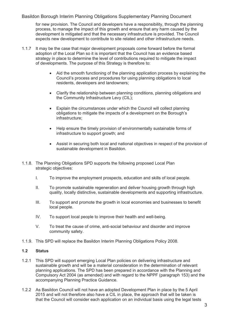for new provision. The Council and developers have a responsibility, through the planning process, to manage the impact of this growth and ensure that any harm caused by the development is mitigated and that the necessary infrastructure is provided. The Council expects new development to contribute to site related and other infrastructure needs.

- 1.1.7 It may be the case that major development proposals come forward before the formal adoption of the Local Plan so it is important that the Council has an evidence based strategy in place to determine the level of contributions required to mitigate the impact of developments. The purpose of this Strategy is therefore to:
	- Aid the smooth functioning of the planning application process by explaining the Council's process and procedures for using planning obligations to local residents, developers and landowners;
	- Clarify the relationship between planning conditions, planning obligations and the Community Infrastructure Levy (CIL);
	- Explain the circumstances under which the Council will collect planning obligations to mitigate the impacts of a development on the Borough's infrastructure;
	- Help ensure the timely provision of environmentally sustainable forms of infrastructure to support growth; and
	- Assist in securing both local and national objectives in respect of the provision of sustainable development in Basildon.
- 1.1.8. The Planning Obligations SPD supports the following proposed Local Plan strategic objectives:
	- I. To improve the employment prospects, education and skills of local people.
	- II. To promote sustainable regeneration and deliver housing growth through high quality, locally distinctive, sustainable developments and supporting infrastructure.
	- III. To support and promote the growth in local economies and businesses to benefit local people.
	- IV. To support local people to improve their health and well-being.
	- V. To treat the cause of crime, anti-social behaviour and disorder and improve community safety.
- 1.1.9. This SPD will replace the Basildon Interim Planning Obligations Policy 2008.

#### **1.2 Status**

- 1.2.1 This SPD will support emerging Local Plan policies on delivering infrastructure and sustainable growth and will be a material consideration in the determination of relevant planning applications. The SPD has been prepared in accordance with the Planning and Compulsory Act 2004 (as amended) and with regard to the NPPF (paragraph 153) and the accompanying Planning Practice Guidance.
- 1.2.2 As Basildon Council will not have an adopted Development Plan in place by the 5 April 2015 and will not therefore also have a CIL in place, the approach that will be taken is that the Council will consider each application on an individual basis using the legal tests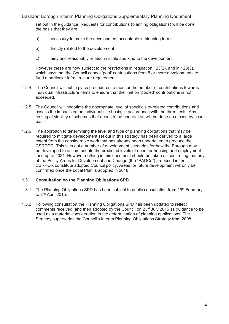set out in the guidance. Requests for contributions (planning obligations) will be done the basis that they are:

- a) necessary to make the development acceptable in planning terms
- b) directly related to the development
- c) fairly and reasonably related in scale and kind to the development.

 However these are now subject to the restrictions in regulation 123(2), and in 123(3), which says that the Council cannot 'pool' contributions from 5 or more developments to fund a particular infrastructure requirement.

- 1.2.4 The Council will put in place procedures to monitor the number of contributions towards individual infrastructure items to ensure that the limit on 'pooled' contributions is not exceeded.
- 1.2.5 The Council will negotiate the appropriate level of specific site-related contributions and assess the impacts on an individual site basis, in accordance with the three tests. Any testing of viability of schemes that needs to be undertaken will be done on a case by case basis.
- 1.2.6 The approach to determining the level and type of planning obligations that may be required to mitigate development set out in this strategy has been derived to a large extent from the considerable work that has already been undertaken to produce the CSRPOR. This sets out a number of development scenarios for how the Borough may be developed to accommodate the predicted levels of need for housing and employment land up to 2031. However nothing in this document should be taken as confirming that any of the Policy Areas for Development and Change (the "PADCs") proposed in the CSRPOR constitute adopted Council policy. Areas for future development will only be confirmed once the Local Plan is adopted in 2018.

#### **1.3 Consultation on the Planning Obligations SPD**

- 1.3.1 The Planning Obligations SPD has been subject to public consultation from  $19<sup>th</sup>$  February to 2nd April 2015.
- 1.3.2 Following consultation the Planning Obligations SPD has been updated to reflect comments received, and then adopted by the Council on 23rd July 2015 as guidance to be used as a material consideration in the determination of planning applications. The Strategy supersedes the Council's Interim Planning Obligations Strategy from 2008.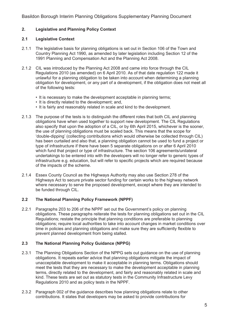#### **2. Legislative and Planning Policy Context**

#### **2.1 Legislative Context**

- 2.1.1 The legislative basis for planning obligations is set out in Section 106 of the Town and Country Planning Act 1990, as amended by later legislation including Section 12 of the 1991 Planning and Compensation Act and the Planning Act 2008.
- 2.1.2 CIL was introduced by the Planning Act 2008 and came into force through the CIL Regulations 2010 (as amended) on 6 April 2010. As of that date regulation 122 made it unlawful for a planning obligation to be taken into account when determining a planning obligation for development, or any part of a development, if the obligation does not meet all of the following tests:
	- It is necessary to make the development acceptable in planning terms;
	- It is directly related to the development; and,
	- It is fairly and reasonably related in scale and kind to the development.
- 2.1.3 The purpose of the tests is to distinguish the different roles that both CIL and planning obligations have when used together to support new development. The CIL Regulations also specify that upon the adoption of a CIL, or by 6th April 2015, whichever is the sooner, the use of planning obligations must be scaled back. This means that the scope for 'double-dipping' (collecting contributions which would otherwise be collected through CIL) has been curtailed and also that, a planning obligation cannot be used to fund a project or type of infrastructure if there have been 5 separate obligations on or after 6 April 2010 which fund that project or type of infrastructure. The section 106 agreements/unilateral undertakings to be entered into with the developers will no longer refer to generic types of infrastructure e.g. education, but will refer to specific projects which are required because of the impacts of the scheme.
- 2.1.4 Essex County Council as the Highways Authority may also use Section 278 of the Highways Act to secure private sector funding for certain works to the highway network where necessary to serve the proposed development, except where they are intended to be funded through CIL.

#### **2.2 The National Planning Policy Framework (NPPF)**

2.2.1 Paragraphs 203 to 206 of the NPPF set out the Government's policy on planning obligations. These paragraphs reiterate the tests for planning obligations set out in the CIL Regulations; restate the principle that planning conditions are preferable to planning obligations; require local authorities to take into account changes in market conditions over time in policies and planning obligations and make sure they are sufficiently flexible to prevent planned development from being stalled.

#### **2.3 The National Planning Policy Guidance (NPPG)**

- 2.3.1 The Planning Obligations Section of the NPPG sets out guidance on the use of planning obligations. It repeats earlier advice that planning obligations mitigate the impact of unacceptable development to make it acceptable in planning terms. Obligations should meet the tests that they are necessary to make the development acceptable in planning terms, directly related to the development, and fairly and reasonably related in scale and kind. These tests are set out as statutory tests in the Community Infrastructure Levy Regulations 2010 and as policy tests in the NPPF.
- 2.3.2 Paragraph 002 of the guidance describes how planning obligations relate to other contributions. It states that developers may be asked to provide contributions for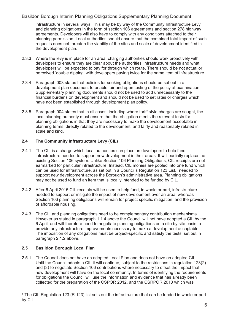infrastructure in several ways. This may be by way of the Community Infrastructure Levy and planning obligations in the form of section 106 agreements and section 278 highway agreements. Developers will also have to comply with any conditions attached to their planning permission. Local authorities should ensure that the combined total impact of such requests does not threaten the viability of the sites and scale of development identified in the development plan.

- 2.3.3 Where the levy is in place for an area, charging authorities should work proactively with developers to ensure they are clear about the authorities' infrastructure needs and what developers will be expected to pay for through which route. There should be not actual or perceived 'double dipping' with developers paying twice for the same item of infrastructure.
- 2.3.4 Paragraph 003 states that policies for seeking obligations should be set out in a development plan document to enable fair and open testing of the policy at examination. Supplementary planning documents should not be used to add unnecessarily to the financial burdens on development and should not be used to set rates or charges which have not been established through development plan policy.
- 2.3.5 Paragraph 004 states that in all cases, including where tariff style charges are sought, the local planning authority must ensure that the obligation meets the relevant tests for planning obligations in that they are necessary to make the development acceptable in planning terms, directly related to the development, and fairly and reasonably related in scale and kind.

#### **2.4 The Community Infrastructure Levy (CIL)**

- 2.4.1 The CIL is a charge which local authorities can place on developers to help fund infrastructure needed to support new development in their areas. It will partially replace the existing Section 106 system. Unlike Section 106 Planning Obligations, CIL receipts are not earmarked for particular infrastructure. Instead, CIL monies are pooled into one fund which can be used for infrastructure, as set out in a Council's Regulation 123 List,<sup>1</sup> needed to support new development across the Borough's administrative area. Planning obligations may not be used to fund an item that is locally intended to be funded by CIL.
- 2.4.2 After 6 April 2015 CIL receipts will be used to help fund, in whole or part, infrastructure needed to support or mitigate the impact of new development over an area, whereas Section 106 planning obligations will remain for project specific mitigation, and the provision of affordable housing.
- 2.4.3 The CIL and planning obligations need to be complementary contribution mechanisms. However as stated in paragraph 1.1.4 above the Council will not have adopted a CIL by the 6 April, and will therefore need to negotiate planning obligations on a site by site basis to provide any infrastructure improvements necessary to make a development acceptable. The imposition of any obligations must be project-specific and satisfy the tests, set out in paragraph 2.1.2 above.

### **2.5 Basildon Borough Local Plan**

2.5.1 The Council does not have an adopted Local Plan and does not have an adopted CIL. Until the Council adopts a CIL it will continue, subject to the restrictions in regulation 123(2) and (3) to negotiate Section 106 contributions where necessary to offset the impact that new development will have on the local community. In terms of identifying the requirements for obligations the Council will use the information and evidence that has already been collected for the preparation of the CSPOR 2012, and the CSRPOR 2013 which was

<sup>&</sup>lt;sup>1</sup> The CIL Regulation 123 (R.123) list sets out the infrastructure that can be funded in whole or part by CIL.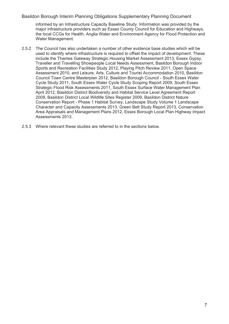informed by an Infrastructure Capacity Baseline Study. Information was provided by the major infrastructure providers such as Essex County Council for Education and Highways, the local CCGs for Health, Anglia Water and Environment Agency for Flood Protection and Water Management.

- 2.5.2 The Council has also undertaken a number of other evidence base studies which will be used to identify where infrastructure is required to offset the impact of development. These include the Thames Gateway Strategic Housing Market Assessment 2013, Essex Gypsy, Traveller and Travelling Showpeople Local Needs Assessment, Basildon Borough Indoor Sports and Recreation Facilities Study 2012, Playing Pitch Review 2011, Open Space Assessment 2010, and Leisure, Arts, Culture and Tourist Accommodation 2010, Basildon Council Town Centre Masterplan 2012, Basildon Borough Council - South Essex Water Cycle Study 2011, South Essex Water Cycle Study Scoping Report 2009, South Essex Strategic Flood Risk Assessments 2011, South Essex Surface Water Management Plan April 2012, Basildon District Biodiversity and Habitat Service Level Agreement Report 2009, Basildon District Local Wildlife Sites Register 2009, Basildon District Nature Conservation Report - Phase 1 Habitat Survey, Landscape Study Volume 1 Landscape Character and Capacity Assessments 2013, Green Belt Study Report 2013, Conservation Area Appraisals and Management Plans 2012, Essex Borough Local Plan Highway Impact Assessments 2013.
- 2.5.3 Where relevant these studies are referred to in the sections below.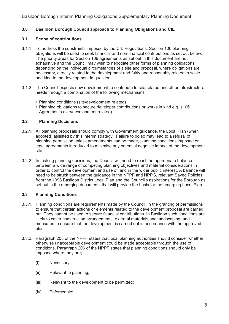#### **3.0 Basildon Borough Council approach to Planning Obligations and CIL**

#### **3.1 Scope of contributions**

- 3.1.1 To address the constraints imposed by the CIL Regulations, Section 106 planning obligations will be used to seek financial and non-financial contributions as set out below. The priority areas for Section 106 agreements as set out in this document are not exhaustive and the Council may wish to negotiate other forms of planning obligations depending on the individual circumstances of a site and proposal, where obligations are necessary, directly related to the development and fairly and reasonably related in scale and kind to the development in question.
- 3.1.2 The Council expects new development to contribute to site related and other infrastructure needs through a combination of the following mechanisms:
	- Planning conditions (site/development related)
	- Planning obligations to secure developer contributions or works in kind e.g. s106 Agreements (site/development related)

#### **3.2 Planning Decisions**

- 3.2.1. All planning proposals should comply with Government guidance, the Local Plan (when adopted) assisted by this interim strategy. Failure to do so may lead to a refusal of planning permission unless amendments can be made, planning conditions imposed or legal agreements introduced to minimise any potential negative impact of the development site.
- 3.2.2. In making planning decisions, the Council will need to reach an appropriate balance between a wide range of competing planning objectives and material considerations in order to control the development and use of land in the wider public interest. A balance will need to be struck between the guidance in the NPPF and NPPG, relevant Saved Policies from the 1998 Basildon District Local Plan and the Council's aspirations for the Borough as set out in the emerging documents that will provide the basis for the emerging Local Plan.

#### **3.3 Planning Conditions**

- 3.3.1. Planning conditions are requirements made by the Council, in the granting of permissions to ensure that certain actions or elements related to the development proposal are carried out. They cannot be used to secure financial contributions. In Basildon such conditions are likely to cover construction arrangements, external materials and landscaping, and measures to ensure that the development is carried out in accordance with the approved plan.
- 3.3.2. Paragraph 203 of the NPPF states that local planning authorities should consider whether otherwise unacceptable development could be made acceptable through the use of conditions. Paragraph 206 of the NPPF states that planning conditions should only be imposed where they are;
	- (i) Necessary;
	- (ii) Relevant to planning;
	- (iii) Relevant to the development to be permitted;
	- (iv) Enforceable;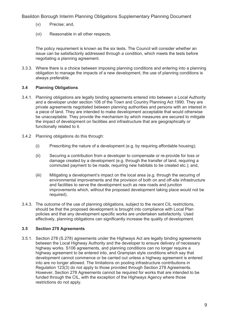- (v) Precise; and,
- (vi) Reasonable in all other respects.

The policy requirement is known as the six tests. The Council will consider whether an issue can be satisfactorily addressed through a condition, which meets the tests before negotiating a planning agreement.

3.3.3. Where there is a choice between imposing planning conditions and entering into a planning obligation to manage the impacts of a new development, the use of planning conditions is always preferable.

#### **3.4 Planning Obligations**

- 3.4.1. Planning obligations are legally binding agreements entered into between a Local Authority and a developer under section 106 of the Town and Country Planning Act 1990. They are private agreements negotiated between planning authorities and persons with an interest in a piece of land. They are intended to make development acceptable that would otherwise be unacceptable. They provide the mechanism by which measures are secured to mitigate the impact of development on facilities and infrastructure that are geographically or functionally related to it.
- 3.4.2 Planning obligations do this through:
	- (i) Prescribing the nature of a development (e.g. by requiring affordable housing);
	- (ii) Securing a contribution from a developer to compensate or re-provide for loss or damage created by a development (e.g. through the transfer of land, requiring a commuted payment to be made, requiring new habitats to be created etc.); and,
	- (iii) Mitigating a development's impact on the local area (e.g. through the securing of environmental improvements and the provision of both on and off-site infrastructure and facilities to serve the development such as new roads and junction improvements which, without the proposed development taking place would not be required).
- 3.4.3. The outcome of the use of planning obligations, subject to the recent CIL restrictions, should be that the proposed development is brought into compliance with Local Plan policies and that any development specific works are undertaken satisfactorily. Used effectively, planning obligations can significantly increase the quality of development.

#### **3.5 Section 278 Agreements**

3.5.1. Section 278 (S.278) agreements under the Highways Act are legally binding agreements between the Local Highway Authority and the developer to ensure delivery of necessary highway works. S106 agreements, and planning conditions can no longer require a highway agreement to be entered into, and Grampian style conditions which say that development cannot commence or be carried out unless a highway agreement is entered into are no longer allowed. The limitations on pooling infrastructure contributions in Regulation 123(3) do not apply to those provided through Section 278 Agreements. However, Section 278 Agreements cannot be required for works that are intended to be funded through the CIL, with the exception of the Highways Agency where those restrictions do not apply.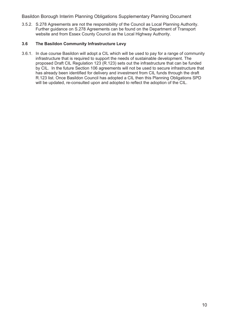3.5.2. S.278 Agreements are not the responsibility of the Council as Local Planning Authority. Further guidance on S.278 Agreements can be found on the Department of Transport website and from Essex County Council as the Local Highway Authority.

#### **3.6 The Basildon Community Infrastructure Levy**

3.6.1. In due course Basildon will adopt a CIL which will be used to pay for a range of community infrastructure that is required to support the needs of sustainable development. The proposed Draft CIL Regulation 123 (R.123) sets out the infrastructure that can be funded by CIL. In the future Section 106 agreements will not be used to secure infrastructure that has already been identified for delivery and investment from CIL funds through the draft R.123 list. Once Basildon Council has adopted a CIL then this Planning Obligations SPD will be updated, re-consulted upon and adopted to reflect the adoption of the CIL.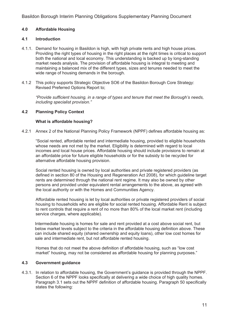#### **4.0 Affordable Housing**

#### **4.1 Introduction**

- 4.1.1. Demand for housing in Basildon is high, with high private rents and high house prices. Providing the right types of housing in the right places at the right times is critical to support both the national and local economy. This understanding is backed up by long-standing market needs analysis. The provision of affordable housing is integral to meeting and maintaining a balanced mix of the different types, sizes and tenures needed to meet the wide range of housing demands in the borough.
- 4.1.2 This policy supports Strategic Objective SO6 of the Basildon Borough Core Strategy: Revised Preferred Options Report to;

*"Provide sufficient housing, in a range of types and tenure that meet the Borough's needs, including specialist provision."* 

#### **4.2 Planning Policy Context**

#### **What is affordable housing?**

4.2.1 Annex 2 of the National Planning Policy Framework (NPPF) defines affordable housing as:

 "Social rented, affordable rented and intermediate housing, provided to eligible households whose needs are not met by the market. Eligibility is determined with regard to local incomes and local house prices. Affordable housing should include provisions to remain at an affordable price for future eligible households or for the subsidy to be recycled for alternative affordable housing provision.

 Social rented housing is owned by local authorities and private registered providers (as defined in section 80 of the Housing and Regeneration Act 2008), for which guideline target rents are determined through the national rent regime. It may also be owned by other persons and provided under equivalent rental arrangements to the above, as agreed with the local authority or with the Homes and Communities Agency.

 Affordable rented housing is let by local authorities or private registered providers of social housing to households who are eligible for social rented housing. Affordable Rent is subject to rent controls that require a rent of no more than 80% of the local market rent (including service charges, where applicable).

Intermediate housing is homes for sale and rent provided at a cost above social rent, but below market levels subject to the criteria in the affordable housing definition above. These can include shared equity (shared ownership and equity loans), other low cost homes for sale and intermediate rent, but not affordable rented housing.

 Homes that do not meet the above definition of affordable housing, such as "low cost market" housing, may not be considered as affordable housing for planning purposes."

#### **4.3 Government guidance**

4.3.1. In relation to affordable housing, the Government's guidance is provided through the NPPF. Section 6 of the NPPF looks specifically at delivering a wide choice of high quality homes. Paragraph 3.1 sets out the NPPF definition of affordable housing. Paragraph 50 specifically states the following: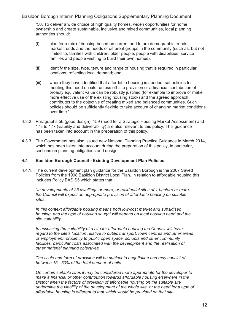"50. To deliver a wide choice of high quality homes, widen opportunities for home ownership and create sustainable, inclusive and mixed communities, local planning authorities should:

- (i) plan for a mix of housing based on current and future demographic trends, market trends and the needs of different groups in the community (such as, but not limited to, families with children, older people, people with disabilities, service families and people wishing to build their own homes);
- (ii) identify the size, type, tenure and range of housing that is required in particular locations, reflecting local demand; and
- (iii) where they have identified that affordable housing is needed, set policies for meeting this need on site, unless off-site provision or a financial contribution of broadly equivalent value can be robustly justified (for example to improve or make more effective use of the existing housing stock) and the agreed approach contributes to the objective of creating mixed and balanced communities. Such policies should be sufficiently flexible to take account of changing market conditions over time."
- 4.3.2 Paragraphs 56 (good design), 159 (need for a Strategic Housing Market Assessment) and 173 to 177 (viability and deliverability) are also relevant to this policy. This guidance has been taken into account in the preparation of this policy.
- 4.3.3 The Government has also issued new National Planning Practice Guidance in March 2014, which has been taken into account during the preparation of this policy, in particular, sections on planning obligations and design.

#### **4.4 Basildon Borough Council - Existing Development Plan Policies**

4.4.1. The current development plan guidance for the Basildon Borough is the 2007 Saved Policies from the 1998 Basildon District Local Plan. In relation to affordable housing this includes Policy BAS S5 which states that:

*"In developments of 25 dwellings or more, or residential sites of 1 hectare or more, the Council will expect an appropriate provision of affordable housing on suitable sites.* 

 *In this context affordable housing means both low-cost market and subsidised housing, and the type of housing sought will depend on local housing need and the site suitability.* 

 *In assessing the suitability of a site for affordable housing the Council will have regard to the site's location relative to public transport, town centres and other areas of employment, proximity to public open space, schools and other community*  facilities, particular costs associated with the development and the realisation of  *other material planning objectives.* 

 *The scale and form of provision will be subject to negotiation and may consist of between 15 - 30% of the total number of units.* 

 *On certain suitable sites it may be considered more appropriate for the developer to make a financial or other contribution towards affordable housing elsewhere in the District when the factors of provision of affordable housing on the suitable site undermine the viability of the development of the whole site, or the need for a type of affordable housing is different to that which would be provided on that site.*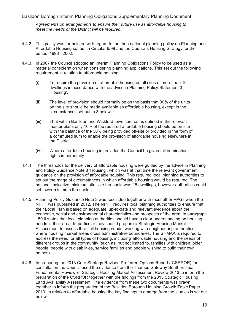*Agreements on arrangements to ensure their future use as affordable housing to meet the needs of the District will be required."* 

- 4.4.2 This policy was formulated with regard to the then national planning policy on Planning and Affordable Housing set out in Circular 6/98 and the Council's Housing Strategy for the period 1998 - 2002.
- 4.4.3. In 2007 the Council adopted an Interim Planning Obligations Policy to be used as a material consideration when considering planning applications. This set out the following requirement in relation to affordable housing:
	- (i) To require the provision of affordable housing on all sites of more than 10 dwellings in accordance with the advice in Planning Policy Statement 3 'Housing'.
	- (ii) The level of provision should normally be on the basis that 30% of the units on the site should be made available as affordable housing, except in the circumstances set out in 3 below.
	- (iii) That within Basildon and Wickford town centres as defined in the relevant master plans only 10% of the required affordable housing should be on site with the balance of the 30% being provided off-site or provided in the form of a commuted sum to enable the provision of affordable housing elsewhere in the District.
	- (iv) Where affordable housing is provided the Council be given full nomination rights in perpetuity.
- 4.4.4 The thresholds for the delivery of affordable housing were guided by the advice in Planning and Policy Guidance Note 3 'Housing', which was at that time the relevant government guidance on the provision of affordable housing. This required local planning authorities to set out the range of circumstances in which affordable housing would be required. The national indicative minimum site size threshold was 15 dwellings, however authorities could set lower minimum thresholds.
- 4.4.5. Planning Policy Guidance Note 3 was rescinded together with most other PPGs when the NPPF was published in 2012. The NPPF requires local planning authorities to ensure that their Local Plan is based on adequate, up-to-date and relevant evidence about the economic, social and environmental characteristics and prospects of the area. In paragraph 159 it states that local planning authorities should have a clear understanding on housing needs in their area. In particular they should prepare a Strategic Housing Market Assessment to assess their full housing needs, working with neighbouring authorities where housing market areas cross administrative boundaries. The SHMAA is required to address the need for all types of housing, including affordable housing and the needs of different groups in the community (such as, but not limited to, families with children, older people, people with disabilities, service families and people wishing to build their own homes).
- 4.4.6 In preparing the 2013 Core Strategy Revised Preferred Options Report ( CSRPOR) for consultation the Council used the evidence from the Thames Gateway South Essex: Fundamental Review of Strategic Housing Market Assessment Review 2013 to inform the preparation of the CSRPOR together with the findings from the 2013 Strategic Housing Land Availability Assessment. The evidence from these two documents was drawn together to inform the preparation of the Basildon Borough Housing Growth Topic Paper 2013. In relation to affordable housing the key findings to emerge from the studies is set out below.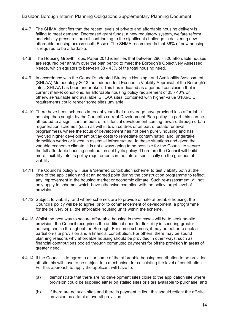- 4.4.7 The SHMA identifies that the recent levels of private and affordable housing delivery is failing to meet demand. Decreased grant funds, a new regulatory system, welfare reform and viability pressures are all contributing to the significant challenge in delivering new affordable housing across south Essex. The SHMA recommends that 36% of new housing is required to be affordable.
- 4.4.8 The Housing Growth Topic Paper 2013 identifies that between 290 320 affordable houses are required per annum over the plan period to meet the Borough's Objectively Assessed Needs, which equates to between 38 - 43% of the total housing need.
- 4.4.9 In accordance with the Council's adopted Strategic Housing Land Availability Assessment (SHLAA) Methodology 2013, an independent Economic Viability Appraisal of the Borough's latest SHLAA has been undertaken. This has indicated as a general conclusion that in current market conditions, an affordable housing policy requirement of 35 - 40% on otherwise 'suitable and available' SHLAA sites, combined with higher value S106/CIL requirements could render some sites unviable.
- 4.4.10 There have been schemes in recent years that on average have provided less affordable housing than sought by the Council's current Development Plan policy. In part, this can be attributed to a significant amount of residential development coming forward through urban regeneration schemes (such as within town centres or as part of estate renewal programmes), where the focus of development has not been purely housing and has involved higher development outlay costs to remediate contaminated land, undertake demolition works or invest in essential infrastructure. In these situations and given the variable economic climate, it is not always going to be possible for the Council to secure the full affordable housing contribution set by its policy. Therefore the Council will build more flexibility into its policy requirements in the future, specifically on the grounds of viability.
- 4.4.11 The Council's policy will use a 'deferred contribution scheme' to test viability both at the time of the application and at an agreed point during the construction programme to reflect any improvement in the housing market or economic climate. Such re-assessment will not only apply to schemes which have otherwise complied with the policy target level of provision.
- 4.4.12 Subject to viability, and where schemes are to provide on-site affordable housing, the Council's policy will be to agree, prior to commencement of development, a programme for the delivery of all the affordable housing units within the scheme.
- 4.4.13 Whilst the best way to secure affordable housing in most cases will be to seek on-site provision, the Council recognises the additional need for flexibility in securing greater housing choice throughout the Borough. For some schemes, it may be better to seek a partial on-site provision and a financial contribution. For others, there may be sound planning reasons why affordable housing should be provided in other ways, such as financial contributions pooled through commuted payments for offsite provision in areas of greater need.
- 4.4.14 If the Council is to agree to all or some of the affordable housing contribution to be provided off-site this will have to be subject to a mechanism for calculating the level of contribution. For this approach to apply the applicant will have to:
	- (a) demonstrate that there are no development sites close to the application site where provision could be supplied either on stalled sites or sites available to purchase, and
	- (b) if there are no such sites and there is payment in lieu, this should reflect the off-site provision as a total of overall provision.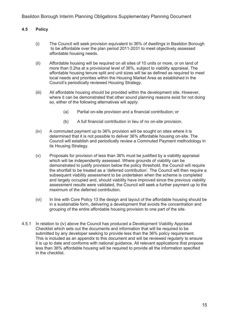#### **4.5 Policy**

- (i) The Council will seek provision equivalent to 36% of dwellings in Basildon Borough to be affordable over the plan period 2011-2031 to meet objectively assessed affordable housing needs.
- (ii) Affordable housing will be required on all sites of 10 units or more, or on land of more than 0.2ha at a provisional level of 36%, subject to viability appraisal. The affordable housing tenure split and unit sizes will be as defined as required to meet local needs and priorities within the Housing Market Area as established in the Council's periodically reviewed Housing Strategy.
- (iii) All affordable housing should be provided within the development site. However, where it can be demonstrated that other sound planning reasons exist for not doing so, either of the following alternatives will apply:
	- (a) Partial on-site provision and a financial contribution; or
	- (b) A full financial contribution in lieu of no on-site provision.
- (iv) A commuted payment up to 36% provision will be sought on sites where it is determined that it is not possible to deliver 36% affordable housing on-site. The Council will establish and periodically review a Commuted Payment methodology in its Housing Strategy.
- (v) Proposals for provision of less than 36% must be justified by a viability appraisal which will be independently assessed. Where grounds of viability can be demonstrated to justify provision below the policy threshold, the Council will require the shortfall to be treated as a 'deferred contribution'. The Council will then require a subsequent viability assessment to be undertaken when the scheme is completed and largely occupied and, should viability have improved since the previous viability assessment results were validated, the Council will seek a further payment up to the maximum of the deferred contribution.
- (vi) In line with Core Policy 13 the design and layout of the affordable housing should be in a sustainable form, delivering a development that avoids the concentration and grouping of the entire affordable housing provision to one part of the site.
- 4.5.1 In relation to (iv) above the Council has produced a Development Viability Appraisal Checklist which sets out the documents and information that will be required to be submitted by any developer seeking to provide less than the 36% policy requirement. This is included as an appendix to this document and will be reviewed regularly to ensure it is up to date and conforms with national guidance. All relevant applications that propose less than 36% affordable housing will be required to provide all the information specified in the checklist.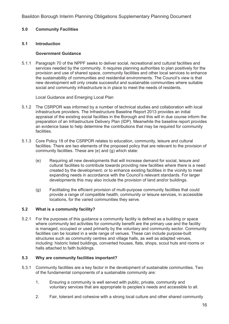#### **5.0 Community Facilities**

#### **5.1 Introduction**

#### **Government Guidance**

5.1.1 Paragraph 70 of the NPPF seeks to deliver social, recreational and cultural facilities and services needed by the community. It requires planning authorities to plan positively for the provision and use of shared space, community facilities and other local services to enhance the sustainability of communities and residential environments. The Council's view is that new development will only create successful and sustainable communities where suitable social and community infrastructure is in place to meet the needs of residents.

Local Guidance and Emerging Local Plan

- 5.1.2 The CSRPOR was informed by a number of technical studies and collaboration with local infrastructure providers. The Infrastructure Baseline Report 2013 provides an initial appraisal of the existing social facilities in the Borough and this will in due course inform the preparation of an Infrastructure Delivery Plan (IDP). Meanwhile the baseline report provides an evidence base to help determine the contributions that may be required for community facilities.
- 5.1.3 Core Policy 18 of the CSRPOR relates to education, community, leisure and cultural facilities. There are two elements of the proposed policy that are relevant to the provision of community facilities. These are (e) and (g) which state:
	- (e) Requiring all new developments that will increase demand for social, leisure and cultural facilities to contribute towards providing new facilities where there is a need created by the development; or to enhance existing facilities in the vicinity to meet expanding needs in accordance with the Council's relevant standards. For larger developments this may also include the provision of land and/or buildings.
	- (g) Facilitating the efficient provision of multi-purpose community facilities that could provide a range of compatible health, community or leisure services, in accessible locations, for the varied communities they serve.

#### **5.2 What is a community facility?**

5.2.1 For the purposes of this guidance a community facility is defined as a building or space where community led activities for community benefit are the primary use and the facility is managed, occupied or used primarily by the voluntary and community sector. Community facilities can be located in a wide range of venues. These can include purpose-built structures such as community centres and village halls, as well as adapted venues, including: historic listed buildings, converted houses, flats, shops, scout huts and rooms or halls attached to faith buildings.

#### **5.3 Why are community facilities important?**

- 5.3.1 Community facilities are a key factor in the development of sustainable communities. Two of the fundamental components of a sustainable community are:
	- 1. Ensuring a community is well served with public, private, community and voluntary services that are appropriate to peoples's needs and accessible to all.
	- 2. Fair, tolerant and cohesive with a strong local culture and other shared community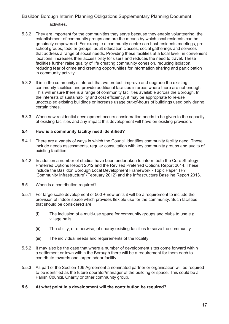activities.

- 5.3.2 They are important for the communities they serve because they enable volunteering, the establishment of community groups and are the means by which local residents can be genuinely empowered. For example a community centre can host residents meetings, pre school groups, toddler groups, adult education classes, social gatherings and services that address a range of social needs. Providing these facilities at a local level, in convenient locations, increases their accessibility for users and reduces the need to travel. These facilities further raise quality of life creating community cohesion, reducing isolation, reducing fear of crime and creating opportunities for information sharing and participation in community activity.
- 5.3.2 It is in the community's interest that we protect, improve and upgrade the existing community facilities and provide additional facilities in areas where there are not enough. This will ensure there is a range of community facilities available across the Borough. In the interests of sustainability and cost efficiency, it may be appropriate to re-use unoccupied existing buildings or increase usage out-of-hours of buildings used only during certain times.
- 5.3.3 When new residential development occurs consideration needs to be given to the capacity of existing facilities and any impact this development will have on existing provision.

#### **5.4 How is a community facility need identified?**

- 5.4.1 There are a variety of ways in which the Council identifies community facility need. These include needs assessments, regular consultation with key community groups and audits of existing facilities.
- 5.4.2 In addition a number of studies have been undertaken to inform both the Core Strategy Preferred Options Report 2012 and the Revised Preferred Options Report 2014. These include the Basildon Borough Local Development Framework - Topic Paper TP7 'Community Infrastructure' (February 2012) and the Infrastructure Baseline Report 2013.
- 5.5 When is a contribution required?
- 5.5.1 For large scale development of 500 + new units it will be a requirement to include the provision of indoor space which provides flexible use for the community. Such facilities that should be considered are:
	- (i) The inclusion of a multi-use space for community groups and clubs to use e.g. village halls.
	- (ii) The ability, or otherwise, of nearby existing facilities to serve the community.
	- (iii) The individual needs and requirements of the locality.
- 5.5.2 It may also be the case that where a number of development sites come forward within a settlement or town within the Borough there will be a requirement for them each to contribute towards one larger indoor facility.
- 5.5.3 As part of the Section 106 Agreement a nominated partner or organisation will be required to be identified as the future operator/manager of the building or space. This could be a Parish Council, Charity or other community group.

#### **5.6 At what point in a development will the contribution be required?**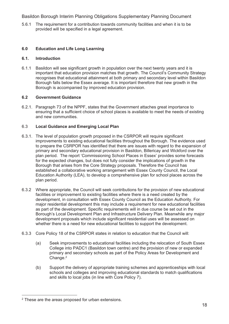5.6.1 The requirement for a contribution towards community facilities and when it is to be provided will be specified in a legal agreement.

#### **6.0 Education and Life Long Learning**

#### **6.1. Introduction**

6.1.1 Basildon will see significant growth in population over the next twenty years and it is important that education provision matches that growth. The Council's Community Strategy recognises that educational attainment at both primary and secondary level within Basildon Borough falls below the Essex average. It is important therefore that new growth in the Borough is accompanied by improved education provision.

#### **6.2 Government Guidance**

6.2.1. Paragraph 73 of the NPPF, states that the Government attaches great importance to ensuring that a sufficient choice of school places is available to meet the needs of existing and new communities.

#### 6.3 **Local Guidance and Emerging Local Plan**

- 6.3.1. The level of population growth proposed in the CSRPOR will require significant improvements to existing educational facilities throughout the Borough. The evidence used to prepare the CSRPOR has identified that there are issues with regard to the expansion of primary and secondary educational provision in Basildon, Billericay and Wickford over the plan period. The report 'Commissioning School Places in Essex' provides some forecasts for the expected changes, but does not fully consider the implications of growth in the Borough that arises from the Core Strategy proposals. Therefore the Council has established a collaborative working arrangement with Essex County Council, the Local Education Authority (LEA), to develop a comprehensive plan for school places across the plan period.
- 6.3.2 Where appropriate, the Council will seek contributions for the provision of new educational facilities or improvement to existing facilities where there is a need created by the development, in consultation with Essex County Council as the Education Authority. For major residential development this may include a requirement for new educational facilities as part of the development. Specific requirements will in due course be set out in the Borough's Local Development Plan and Infrastructure Delivery Plan. Meanwhile any major development proposals which include significant residential uses will be assessed on whether there is a need for new educational facilities to support the development.
- 6.3.3 Core Policy 18 of the CSRPOR states in relation to education that the Council will:
	- (a) Seek improvements to educational facilities including the relocation of South Essex College into PADC1 (Basildon town centre) and the provision of new or expanded primary and secondary schools as part of the Policy Areas for Development and Change.<sup>2</sup>
	- (b) Support the delivery of appropriate training schemes and apprenticeships with local schools and colleges and improving educational standards to match qualifications and skills to local jobs (in line with Core Policy 7).

<sup>&</sup>lt;sup>2</sup> These are the areas proposed for urban extensions.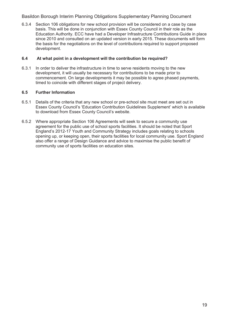6.3.4 Section 106 obligations for new school provision will be considered on a case by case basis. This will be done in conjunction with Essex County Council in their role as the Education Authority. ECC have had a Developer Infrastructure Contributions Guide in place since 2010 and consulted on an updated version in early 2015. These documents will form the basis for the negotiations on the level of contributions required to support proposed development.

#### **6.4 At what point in a development will the contribution be required?**

6.3.1 In order to deliver the infrastructure in time to serve residents moving to the new development, it will usually be necessary for contributions to be made prior to commencement. On large developments it may be possible to agree phased payments, timed to coincide with different stages of project delivery.

#### **6.5 Further Information**

- 6.5.1 Details of the criteria that any new school or pre-school site must meet are set out in Essex County Council's 'Education Contribution Guidelines Supplement' which is available to download from Essex County Council's website.
- 6.5.2 Where appropriate Section 106 Agreements will seek to secure a community use agreement for the public use of school sports facilities. It should be noted that Sport England's 2012-17 Youth and Community Strategy includes goals relating to schools opening up, or keeping open, their sports facilities for local community use. Sport England also offer a range of Design Guidance and advice to maximise the public benefit of community use of sports facilities on education sites.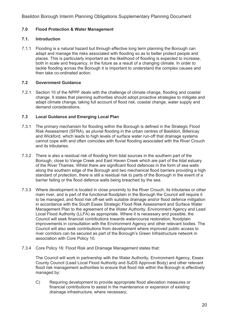#### **7.0 Flood Protection & Water Management**

#### **7.1. Introduction**

7.1.1 Flooding is a natural hazard but through effective long term planning the Borough can adapt and manage the risks associated with flooding so as to better protect people and places. This is particularly important as the likelihood of flooding is expected to increase, both in scale and frequency, in the future as a result of a changing climate. In order to tackle flooding across the Borough it is important to understand the complex causes and then take co-ordinated action.

#### **7.2 Government Guidance**

7.2.1 Section 10 of the NPPF deals with the challenge of climate change, flooding and coastal change. It states that planning authorities should adopt proactive strategies to mitigate and adapt climate change, taking full account of flood risk, coastal change, water supply and demand considerations.

#### **7.3 Local Guidance and Emerging Local Plan**

- 7.3.1 The primary mechanism for flooding within the Borough is defined in the Strategic Flood Risk Assessment (SFRA), as pluvial flooding in the urban centres of Basildon, Billericay and Wickford, which leads to high levels of surface water run-off that drainage systems cannot cope with and often coincides with fluvial flooding associated with the River Crouch and its tributaries.
- 7.3.2 There is also a residual risk of flooding from tidal sources in the southern part of the Borough, close to Vange Creek and East Haven Creek which are part of the tidal estuary of the River Thames. Whilst there are significant flood defences in the form of sea walls along the southern edge of the Borough and two mechanical flood barriers providing a high standard of protection, there is still a residual risk to parts of the Borough in the event of a barrier failing or the flood defence walls being breached by the sea.
- 7.3.3 Where development is located in close proximity to the River Crouch, its tributaries or other main river, and is part of the functional floodplain in the Borough the Council will require it to be managed, and flood risk off-set with suitable drainage and/or flood defence mitigation in accordance with the South Essex Strategic Flood Risk Assessment and Surface Water Management Plan to the agreement of the Water Authority, Environment Agency and Lead Local Flood Authority (LLFA) as appropriate. Where it is necessary and possible, the Council will seek financial contributions towards watercourse restoration, floodplain improvements in consultation with the Environment Agency and other relevant bodies. The Council will also seek contributions from development where improved public access to river corridors can be secured as part of the Borough's Green Infrastructure network in association with Core Policy 10.
- 7.3.4 Core Policy 16: Flood Risk and Drainage Management states that:

 The Council will work in partnership with the Water Authority, Environment Agency, Essex County Council (Lead Local Flood Authority and SuDS Approval Body) and other relevant flood risk management authorities to ensure that flood risk within the Borough is effectively managed by:

 C) Requiring development to provide appropriate flood alleviation measures or financial contributions to assist in the maintenance or expansion of existing drainage infrastructure, where necessary;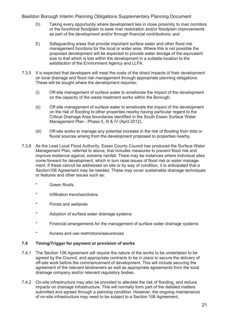- D) Taking every opportunity where development lies in close proximity to river corridors or the functional floodplain to seek river restoration and/or floodplain improvements as part of the development and/or through financial contributions; and
- E) Safeguarding areas that provide important surface water and other flood risk management functions for the local or wider area. Where this is not possible the proposed development will be expected to provide water storage of the equivalent size to that which is lost within the development in a suitable location to the satisfaction of the Environment Agency and LLFA.
- 7.3.5 It is expected that developers will meet the costs of the direct impacts of their development on local drainage and flood risk management through appropriate planning obligations. These will be sought where the development requires;
	- (i) Off-site management of surface water to ameliorate the impact of the development on the capacity of the waste treatment works within the Borough.
	- (ii) Off-site management of surface water to ameliorate the impact of the development on the risk of flooding to other properties nearby having particular regard to the Critical Drainage Area boundaries identified in the South Essex Surface Water Management Plan - Phase II, III & IV (April 2012).
	- (iii) Off-site works to manage any potential increase in the risk of flooding from tidal or fluvial sources arising from the development proposed to properties nearby.
- 7.3.6 As the Lead Local Flood Authority, Essex County Council has produced the Surface Water Management Plan, referred to above, that includes measures to prevent flood risk and improve resilience against, extreme rainfall. There may be instances where individual sites come forward for development, which in turn raise issues of flood risk or water management. If these cannot be addressed on site or by way of condition, it is anticipated that a Section106 Agreement may be needed. These may cover sustainable drainage techniques or features and other issues such as:
	- \* Green Roofs
	- \* Infiltration trenches/drains
	- \* Ponds and wetlands
	- \* Adoption of surface water drainage systems
	- \* Financial arrangements for the management of surface water drainage systems
	- \* Access and use restrictions/assurances

#### **7.4 Timing/Trigger for payment or provision of works**

- 7.4.1 The Section 106 Agreement will require the nature of the works to be undertaken to be agreed by the Council, and appropriate contracts to be in place to secure the delivery of off-site work before the commencement of development. This will include securing the agreement of the relevant landowners as well as appropriate agreements from the local drainage company and/or relevant regulatory bodies.
- 7.4.2 On-site infrastructure may also be provided to alleviate the risk of flooding, and reduce impacts on drainage infrastructure. This will normally form part of the detailed matters submitted and agreed through a planning condition. However, the ongoing maintenance of on-site infrastructure may need to be subject to a Section 106 Agreement.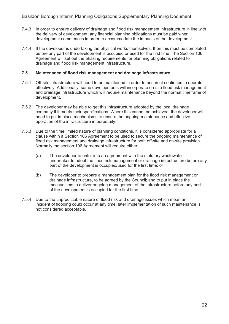- 7.4.3 In order to ensure delivery of drainage and flood risk management infrastructure in line with the delivery of development, any financial planning obligations must be paid when development commences in order to accommodate the impacts of the development.
- 7.4.4 If the developer is undertaking the physical works themselves, then this must be completed before any part of the development is occupied or used for the first time. The Section 106 Agreement will set out the phasing requirements for planning obligations related to drainage and flood risk management infrastructure.

#### **7.5 Maintenance of flood risk management and drainage infrastructure**

- 7.5.1 Off-site infrastructure will need to be maintained in order to ensure it continues to operate effectively. Additionally, some developments will incorporate on-site flood risk management and drainage infrastructure which will require maintenance beyond the normal timeframe of development.
- 7.5.2 The developer may be able to get this infrastructure adopted by the local drainage company if it meets their specifications. Where this cannot be achieved, the developer will need to put in place mechanisms to ensure the ongoing maintenance and effective operation of the infrastructure in perpetuity.
- 7.5.3 Due to the time limited nature of planning conditions, it is considered appropriate for a clause within a Section 106 Agreement to be used to secure the ongoing maintenance of flood risk management and drainage infrastructure for both off-site and on-site provision. Normally the section 106 Agreement will require either:
	- (a) The developer to enter into an agreement with the statutory wastewater undertaker to adopt the flood risk management or drainage infrastructure before any part of the development is occupied/used for the first time; or
	- (b) The developer to prepare a management plan for the flood risk management or drainage infrastructure, to be agreed by the Council; and to put in place the mechanisms to deliver ongoing management of the infrastructure before any part of the development is occupied for the first time.
- 7.5.4 Due to the unpredictable nature of flood risk and drainage issues which mean an incident of flooding could occur at any time, later implementation of such maintenance is not considered acceptable.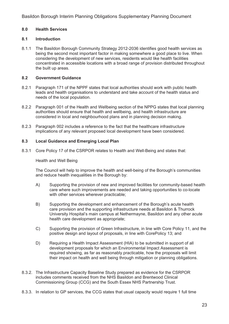#### **8.0 Health Services**

#### **8.1 Introduction**

8.1.1 The Basildon Borough Community Strategy 2012-2036 identifies good health services as being the second most important factor in making somewhere a good place to live. When considering the development of new services, residents would like health facilities concentrated in accessible locations with a broad range of provision distributed throughout the built up areas.

#### **8.2 Government Guidance**

- 8.2.1 Paragraph 171 of the NPPF states that local authorities should work with public health leads and health organisations to understand and take account of the health status and needs of the local population.
- 8.2.2 Paragraph 001 of the Health and Wellbeing section of the NPPG states that local planning authorities should ensure that health and wellbeing, and health infrastructure are considered in local and neighbourhood plans and in planning decision making.
- 8.2.3 Paragraph 002 includes a reference to the fact that the healthcare infrastructure implications of any relevant proposed local development have been considered.

#### **8.3 Local Guidance and Emerging Local Plan**

8.3.1 Core Policy 17 of the CSRPOR relates to Health and Well-Being and states that:

#### Health and Well Being

 The Council will help to improve the health and well-being of the Borough's communities and reduce health inequalities in the Borough by:

- A) Supporting the provision of new and improved facilities for community-based health care where such improvements are needed and taking opportunities to co-locate with other services wherever practicable;
- B) Supporting the development and enhancement of the Borough's acute health care provision and the supporting infrastructure needs at Basildon & Thurrock University Hospital's main campus at Nethermayne, Basildon and any other acute health care development as appropriate;
- C) Supporting the provision of Green Infrastructure, in line with Core Policy 11, and the positive design and layout of proposals, in line with CorePolicy 13; and
- D) Requiring a Health Impact Assessment (HIA) to be submitted in support of all development proposals for which an Environmental Impact Assessment is required showing, as far as reasonably practicable, how the proposals will limit their impact on health and well being through mitigation or planning obligations.
- 8.3.2. The Infrastructure Capacity Baseline Study prepared as evidence for the CSRPOR includes comments received from the NHS Basildon and Brentwood Clinical Commissioning Group (CCG) and the South Essex NHS Partnership Trust.
- 8.3.3. In relation to GP services, the CCG states that usual capacity would require 1 full time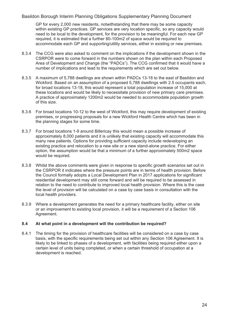GP for every 2,000 new residents, notwithstanding that there may be some capacity within existing GP practices. GP services are very location specific, so any capacity would need to be local to the development, for the provision to be meaningful. For each new GP required, it is estimated that a further 80-100m2 of space would be required to accommodate each GP and supporting/utility services, either in existing or new premises.

- 8.3.4 The CCG were also asked to comment on the implications if the development shown in the CSRPOR were to come forward in the numbers shown on the plan within each Proposed Area of Development and Change (the "PADCs"). The CCG confirmed that it would have a number of implications and lead to the requirements which are set out below.
- 8.3.5 A maximum of 5,788 dwellings are shown within PADCs 13-18 to the east of Basildon and Wickford. Based on an assumption of a proposed 5,788 dwellings with 2.5 occupants each, for broad locations 13-18, this would represent a total population increase of 15,000 at these locations and would be likely to necessitate provision of new primary care premises. A practice of approximately 1200m2 would be needed to accommodate population growth of this size.
- 8.3.6 For broad locations 10-12 to the west of Wickford, this may require development of existing premises, or progressing proposals for a new Wickford Health Centre which has been in the planning stages for some time.
- 8.3.7 For broad locations 1-9 around Billericay this would mean a possible increase of approximately 8,000 patients and it is unlikely that existing capacity will accommodate this many new patients. Options for providing sufficient capacity include redeveloping an existing practice and relocation to a new site or a new stand-alone practice. For either option, the assumption would be that a minimum of a further approximately 500m2 space would be required.
- 8.3.8 Whilst the above comments were given in response to specific growth scenarios set out in the CSRPOR it indicates where the pressure points are in terms of health provision. Before the Council formally adopts a Local Development Plan in 2017 applications for significant residential development may still come forward and will be required to be assessed in relation to the need to contribute to improved local health provision. Where this is the case the level of provision will be calculated on a case by case basis in consultation with the local health providers.
- 8.3.9 Where a development generates the need for a primary healthcare facility, either on site or an improvement to existing local provision, it will be a requirement of a Section 106 Agreement.

#### **8.4 At what point in a development will the contribution be required?**

8.4.1 The timing for the provision of healthcare facilities will be considered on a case by case basis, with the specific requirements being set out within any Section 106 Agreement. It is likely to be linked to phases of a development, with facilities being required either upon a certain level of units being completed, or when a certain threshold of occupation at a development is reached.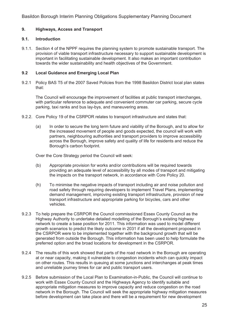#### **9. Highways, Access and Transport**

#### **9.1. Introduction**

9.1.1. Section 4 of the NPPF requires the planning system to promote sustainable transport. The provision of viable transport infrastructure necessary to support sustainable development is important in facilitating sustainable development. It also makes an important contribution towards the wider sustainability and health objectives of the Government.

#### **9.2 Local Guidance and Emerging Local Plan**

9.2.1 Policy BAS T5 of the 2007 Saved Policies from the 1998 Basildon District local plan states that:

 The Council will encourage the improvement of facilities at public transport interchanges, with particular reference to adequate and convenient commuter car parking, secure cycle parking, taxi ranks and bus lay-bys, and maneuvering areas.

- 9.2.2. Core Policy 19 of the CSRPOR relates to transport infrastructure and states that:
	- (a) In order to secure the long term future and viability of the Borough, and to allow for the increased movement of people and goods expected, the council will work with partners, neighbouring authorities and transport providers to improve accessibility across the Borough, improve safety and quality of life for residents and reduce the Borough's carbon footprint.

Over the Core Strategy period the Council will seek:

- (b) Appropriate provision for works and/or contributions will be required towards providing an adequate level of accessibility by all modes of transport and mitigating the impacts on the transport network, in accordance with Core Policy 20.
- (h) To minimise the negative impacts of transport including air and noise pollution and road safety through requiring developers to implement Travel Plans, implementing demand management, improving existing transport infrastructure, provision of new transport infrastructure and appropriate parking for bicycles, cars and other vehicles.
- 9.2.3 To help prepare the CSRPOR the Council commissioned Essex County Council as the Highway Authority to undertake detailed modelling of the Borough's existing highway network to create a base position for 2011. This information was used to model different growth scenarios to predict the likely outcome in 2031 if all the development proposed in the CSRPOR were to be implemented together with the background growth that will be generated from outside the Borough. This information has been used to help formulate the preferred option and the broad locations for development in the CSRPOR.
- 9.2.4 The results of this work showed that parts of the road network in the Borough are operating at or near capacity, making it vulnerable to congestion incidents which can quickly impact on other routes. This results in queuing at some junctions and interchanges at peak times and unreliable journey times for car and public transport users.
- 9.2.5 Before submission of the Local Plan to Examination-in-Public, the Council will continue to work with Essex County Council and the Highways Agency to identify suitable and appropriate mitigation measures to improve capacity and reduce congestion on the road network in the Borough. The Council will seek the appropriate highway mitigation measures before development can take place and there will be a requirement for new development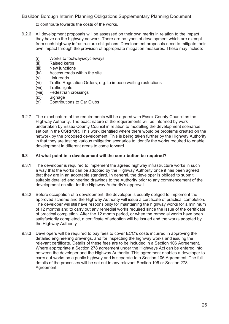to contribute towards the costs of the works.

- 9.2.6 All development proposals will be assessed on their own merits in relation to the impact they have on the highway network. There are no types of development which are exempt from such highway infrastructure obligations. Development proposals need to mitigate their own impact through the provision of appropriate mitigation measures. These may include:
	- (i) Works to footways/cycleways
	- (ii) Raised kerbs
	- (iii) New junctions
	- (iv) Access roads within the site
	- (v) Link roads
	- (vi) Traffic Regulation Orders, e.g. to impose waiting restrictions
	- (vii) Traffic lights
	- (viii) Pedestrian crossings
	- (ix) Signage
	- (x) Contributions to Car Clubs
- 9.2.7 The exact nature of the requirements will be agreed with Essex County Council as the Highway Authority. The exact nature of the requirements will be informed by work undertaken by Essex County Council in relation to modelling the development scenarios set out in the CSRPOR. This work identified where there would be problems created on the network by the proposed development. This is being taken further by the Highway Authority in that they are testing various mitigation scenarios to identify the works required to enable development in different areas to come forward.

#### **9.3 At what point in a development will the contribution be required?**

- 9.3.1 The developer is required to implement the agreed highway infrastructure works in such a way that the works can be adopted by the Highway Authority once it has been agreed that they are in an adoptable standard. In general, the developer is obliged to submit suitable detailed engineering drawings to the Authority prior to any commencement of the development on site, for the Highway Authority's approval.
- 9.3.2 Before occupation of a development, the developer is usually obliged to implement the approved scheme and the Highway Authority will issue a certificate of practical completion. The developer will still have responsibility for maintaining the highway works for a minimum of 12 months and to carry out any remedial works required since the issue of the certificate of practical completion. After the 12 month period, or when the remedial works have been satisfactorily completed, a certificate of adoption will be issued and the works adopted by the Highway Authority.
- 9.3.3 Developers will be required to pay fees to cover ECC's costs incurred in approving the detailed engineering drawings, and for inspecting the highway works and issuing the relevant certificate. Details of these fees are to be included in a Section 106 Agreement. Where appropriate a Section 278 agreement under the Highways Act can be entered into between the developer and the Highway Authority. This agreement enables a developer to carry out works on a public highway and is separate to a Section 106 Agreement. The full details of the processes will be set out in any relevant Section 106 or Section 278 Agreement.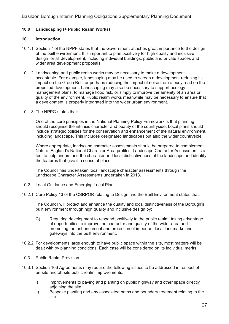#### **10.0 Landscaping (+ Public Realm Works)**

#### **10.1 Introduction**

- 10.1.1 Section 7 of the NPPF states that the Government attaches great importance to the design of the built environment. It is important to plan positively for high quality and inclusive design for all development, including individual buildings, public and private spaces and wider area development proposals.
- 10.1.2 Landscaping and public realm works may be necessary to make a development acceptable. For example, landscaping may be used to screen a development reducing its impact on the Green Belt, or perhaps reducing the impact of noise from a busy road on the proposed development. Landscaping may also be necessary to support ecology management plans, to manage flood risk, or simply to improve the amenity of an area or quality of the environment. Public realm works meanwhile may be necessary to ensure that a development is properly integrated into the wider urban environment.
- 10.1.3 The NPPG states that:

 One of the core principles in the National Planning Policy Framework is that planning should recognise the intrinsic character and beauty of the countryside. Local plans should include strategic policies for the conservation and enhancement of the natural environment, including landscape. This includes designated landscapes but also the wider countryside.

 Where appropriate, landscape character assessments should be prepared to complement Natural England's National Character Area profiles. Landscape Character Assessment is a tool to help understand the character and local distinctiveness of the landscape and identify the features that give it a sense of place.

 The Council has undertaken local landscape character assessments through the Landscape Character Assessments undertaken in 2013.

- 10.2 Local Guidance and Emerging Local Plan
- 10.2.1 Core Policy 13 of the CSRPOR relating to Design and the Built Environment states that:

 The Council will protect and enhance the quality and local distinctiveness of the Borough's built environment through high quality and inclusive design by:

- C) Requiring development to respond positively to the public realm, taking advantage of opportunities to improve the character and quality of the wider area and promoting the enhancement and protection of important local landmarks and gateways into the built environment.
- 10.2.2 For developments large enough to have public space within the site, most matters will be dealt with by planning conditions. Each case will be considered on its individual merits.
- 10.3 Public Realm Provision
- 10.3.1 Section 106 Agreements may require the following issues to be addressed in respect of on-site and off-site public realm improvements.
	- i) Improvements to paving and planting on public highway and other space directly adjoining the site.
	- ii) Bespoke planting and any associated paths and boundary treatment relating to the site.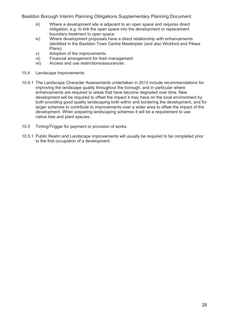- iii) Where a development site is adjacent to an open space and requires direct mitigation, e.g. to link the open space into the development or replacement boundary treatment to open space.
- iv) Where development proposals have a direct relationship with enhancements identified in the Basildon Town Centre Masterplan (and also Wickford and Pitsea Plans).
- v) Adoption of the improvements.
- vi) Financial arrangement for their management
- vii) Access and use restrictions/assurances.
- 10.4 Landscape Improvements
- 10.4.1 The Landscape Character Assessments undertaken in 2013 include recommendations for improving the landscape quality throughout the borough, and in particular where enhancements are required to areas that have become degraded over time. New development will be required to offset the impact it may have on the local environment by both providing good quality landscaping both within and bordering the development, and for larger schemes to contribute to improvements over a wider area to offset the impact of the development. When preparing landscaping schemes it will be a requirement to use native tree and plant species.
- 10.5 Timing/Trigger for payment or provision of works
- 10.5.1 Public Realm and Landscape improvements will usually be required to be completed prior to the first occupation of a development.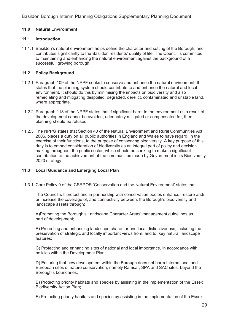#### **11.0 Natural Environment**

#### **11.1 Introduction**

11.1.1 Basildon's natural environment helps define the character and setting of the Borough, and contributes significantly to the Basildon residents' quality of life. The Council is committed to maintaining and enhancing the natural environment against the background of a successful, growing borough.

#### **11.2 Policy Background**

- 11.2.1 Paragraph 109 of the NPPF seeks to conserve and enhance the natural environment. It states that the planning system should contribute to and enhance the natural and local environment. It should do this by minimising the impacts on biodiversity and also remediating and mitigating despoiled, degraded, derelict, contaminated and unstable land, where appropriate.
- 11.2.2 Paragraph 118 of the NPPF states that if significant harm to the environment as a result of the development cannot be avoided, adequately mitigated or compensated for, then planning should be refused.
- 11.2.3 The NPPG states that Section 40 of the Natural Environment and Rural Communities Act 2006, places a duty on all public authorities in England and Wales to have regard, in the exercise of their functions, to the purpose of conserving biodiversity. A key purpose of this duty is to embed consideration of biodiversity as an integral part of policy and decision making throughout the public sector, which should be seeking to make a significant contribution to the achievement of the communities made by Government in its Biodiversity 2020 strategy.

#### **11.3 Local Guidance and Emerging Local Plan**

11.3.1 Core Policy 9 of the CSRPOR 'Conservation and the Natural Environment' states that:

 The Council will protect and in partnership with conservation bodies enhance, restore and/ or increase the coverage of, and connectivity between, the Borough's biodiversity and landscape assets through:

 A)Promoting the Borough's Landscape Character Areas' management guidelines as part of development;

 B) Protecting and enhancing landscape character and local distinctiveness, including the preservation of strategic and locally important views from, and to, key natural landscape features;

 C) Protecting and enhancing sites of national and local importance, in accordance with policies within the Development Plan;

 D) Ensuring that new development within the Borough does not harm International and European sites of nature conservation, namely Ramsar, SPA and SAC sites, beyond the Borough's boundaries;

 E) Protecting priority habitats and species by assisting in the implementation of the Essex Biodiversity Action Plan;

F) Protecting priority habitats and species by assisting in the implementation of the Essex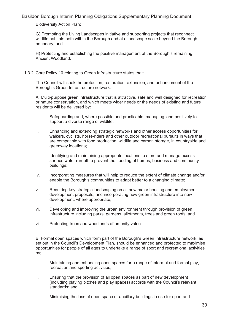Biodiversity Action Plan;

 G) Promoting the Living Landscapes initiative and supporting projects that reconnect wildlife habitats both within the Borough and at a landscape scale beyond the Borough boundary; and

 H) Protecting and establishing the positive management of the Borough's remaining Ancient Woodland.

11.3.2 Core Policy 10 relating to Green Infrastructure states that:

 The Council will seek the protection, restoration, extension, and enhancement of the Borough's Green Infrastructure network.

 A. Multi-purpose green infrastructure that is attractive, safe and well designed for recreation or nature conservation, and which meets wider needs or the needs of existing and future residents will be delivered by:

- i. Safeguarding and, where possible and practicable, managing land positively to support a diverse range of wildlife;
- ii. Enhancing and extending strategic networks and other access opportunities for walkers, cyclists, horse-riders and other outdoor recreational pursuits in ways that are compatible with food production, wildlife and carbon storage, in countryside and greenway locations;
- iii. Identifying and maintaining appropriate locations to store and manage excess surface water run-off to prevent the flooding of homes, business and community buildings;
- iv. Incorporating measures that will help to reduce the extent of climate change and/or enable the Borough's communities to adapt better to a changing climate;
- v. Requiring key strategic landscaping on all new major housing and employment development proposals, and incorporating new green infrastructure into new development, where appropriate;
- vi. Developing and improving the urban environment through provision of green infrastructure including parks, gardens, allotments, trees and green roofs; and
- vii. Protecting trees and woodlands of amenity value.

 B. Formal open spaces which form part of the Borough's Green Infrastructure network, as set out in the Council's Development Plan, should be enhanced and protected to maximise opportunities for people of all ages to undertake a range of sport and recreational activities by;

- i. Maintaining and enhancing open spaces for a range of informal and formal play, recreation and sporting activities;
- ii. Ensuring that the provision of all open spaces as part of new development (including playing pitches and play spaces) accords with the Council's relevant standards; and
- iii. Minimising the loss of open space or ancillary buildings in use for sport and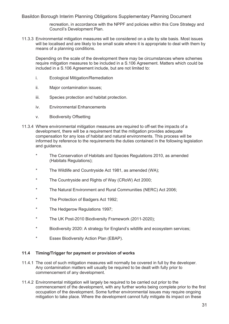recreation, in accordance with the NPPF and policies within this Core Strategy and Council's Development Plan.

11.3.3 Environmental mitigation measures will be considered on a site by site basis. Most issues will be localised and are likely to be small scale where it is appropriate to deal with them by means of a planning conditions.

 Depending on the scale of the development there may be circumstances where schemes require mitigation measures to be included in a S.106 Agreement. Matters which could be included in a S.106 Agreement include, but are not limited to:

- i. Ecological Mitigation/Remediation
- ii. Major contamination issues;
- iii. Species protection and habitat protection.
- iv. Environmental Enhancements
- v. Biodiversity Offsetting
- 11.3.4 Where environmental mitigation measures are required to off-set the impacts of a development, there will be a requirement that the mitigation provides adequate compensation for any loss of habitat and natural environments. This process will be informed by reference to the requirements the duties contained in the following legislation and guidance.
	- \* The Conservation of Habitats and Species Regulations 2010, as amended (Habitats Regulations);
	- \* The Wildlife and Countryside Act 1981, as amended (WA);
	- The Countryside and Rights of Way (CRoW) Act 2000;
	- The Natural Environment and Rural Communities (NERC) Act 2006;
	- \* The Protection of Badgers Act 1992;
	- \* The Hedgerow Regulations 1997;
	- \* The UK Post-2010 Biodiversity Framework (2011-2020);
	- \* Biodiversity 2020: A strategy for England's wildlife and ecosystem services;
	- \* Essex Biodiversity Action Plan (EBAP).

#### **11.4 Timing/Trigger for payment or provision of works**

- 11.4.1 The cost of such mitigation measures will normally be covered in full by the developer. Any contamination matters will usually be required to be dealt with fully prior to commencement of any development.
- 11.4.2 Environmental mitigation will largely be required to be carried out prior to the commencement of the development, with any further works being complete prior to the first occupation of the development. Some further environmental issues may require ongoing mitigation to take place. Where the development cannot fully mitigate its impact on these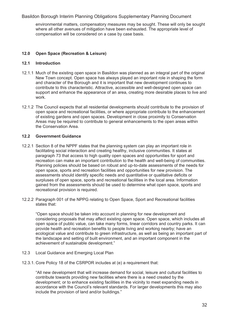environmental matters, compensatory measures may be sought. These will only be sought where all other avenues of mitigation have been exhausted. The appropriate level of compensation will be considered on a case by case basis.

#### **12.0 Open Space (Recreation & Leisure)**

#### **12.1 Introduction**

- 12.1.1 Much of the existing open space in Basildon was planned as an integral part of the original New Town concept. Open space has always played an important role in shaping the form and character of the Borough and it is important that new development continues to contribute to this characteristic. Attractive, accessible and well-designed open space can support and enhance the appearance of an area, creating more desirable places to live and work.
- 12.1.2 The Council expects that all residential developments should contribute to the provision of open space and recreational facilities, or where appropriate contribute to the enhancement of existing gardens and open spaces. Development in close proximity to Conservation Areas may be required to contribute to general enhancements to the open areas within the Conservation Area.

#### **12.2 Government Guidance**

- 12.2.1 Section 8 of the NPPF states that the planning system can play an important role in facilitating social interaction and creating healthy, inclusive communities. It states at paragraph 73 that access to high quality open spaces and opportunities for sport and recreation can make an important contribution to the health and well-being of communities. Planning policies should be based on robust and up-to-date assessments of the needs for open space, sports and recreation facilities and opportunities for new provision. The assessments should identify specific needs and quantitative or qualitative deficits or surpluses of open space, sports and recreational facilities in the local area. Information gained from the assessments should be used to determine what open space, sports and recreational provision is required.
- 12.2.2 Paragraph 001 of the NPPG relating to Open Space, Sport and Recreational facilities states that:

 "Open space should be taken into account in planning for new development and considering proposals that may affect existing open space. Open space, which includes all open space of public value, can take many forms, linear corridors and country parks. It can provide health and recreation benefits to people living and working nearby; have an ecological value and contribute to green infrastructure, as well as being an important part of the landscape and setting of built environment, and an important component in the achievement of sustainable development."

- 12.3 Local Guidance and Emerging Local Plan
- 12.3.1. Core Policy 18 of the CSRPOR includes at (e) a requirement that:

 "All new development that will increase demand for social, leisure and cultural facilities to contribute towards providing new facilities where there is a need created by the development; or to enhance existing facilities in the vicinity to meet expanding needs in accordance with the Council's relevant standards. For larger developments this may also include the provision of land and/or buildings."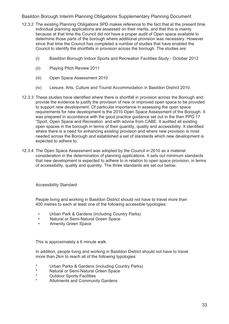- 12.3.2 The existing Planning Obligations SPD makes reference to the fact that at the present time individual planning applications are assessed on their merits, and that this is mainly because at that time the Council did not have a proper audit of Open space available to determine those parts of the borough where additional provision was necessary. However since that time the Council has completed a number of studies that have enabled the Council to identify the shortfalls in provision across the borough. The studies are:
	- (i) Basildon Borough Indoor Sports and Recreation Facilities Study October 2012
	- (ii) Playing Pitch Review 2011
	- (iii) Open Space Assessment 2010
	- (iv) Leisure, Arts, Culture and Tourist Accommodation in Basildon District 2010.
- 12.3.3 These studies have identified where there is shortfall in provision across the Borough and provide the evidence to justify the provision of new or improved open space to be provided to support new development. Of particular importance in assessing the open space requirements for new development is the 2010 Open Space Assessment of the Borough. It was prepared in accordance with the good practice guidance set out in the then PPG 17 "Sport, Open Space and Recreation and with advice from CABE. It audited all existing open spaces in the borough in terms of their quantity, quality and accessibility. It identified where there is a need for enhancing existing provision and where new provision is most needed across the Borough and established a set of standards which new development is expected to adhere to.
- 12.3.4 The Open Space Assessment was adopted by the Council in 2010 as a material consideration in the determination of planning applications. It sets out minimum standards that new development is expected to adhere to in relation to open space provision, in terms of accessibility, quality and quantity. The three standards are set out below.

Accessibility Standard

 People living and working in Basildon District should not have to travel more than 400 metres to each at least one of the following accessible typologies:

- Urban Park & Gardens (including Country Parks)
- Natural or Semi-Natural Green Space
- Amenity Green Space

This is approximately a 6 minute walk.

 In addition, people living and working in Basildon District should not have to travel more than 2km to reach all of the following typologies:

- \* Urban Parks & Gardens (including Country Parks)
- \* Natural or Semi-Natural Green Space
- **Outdoor Sports Facilities**
- Allotments and Community Gardens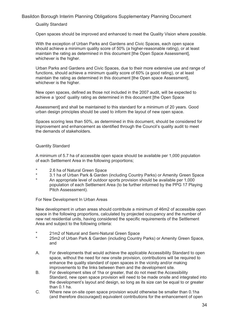#### Quality Standard

Open spaces should be improved and enhanced to meet the Quality Vision where possible.

 With the exception of Urban Parks and Gardens and Civic Spaces, each open space should achieve a minimum quality score of 50% (a higher-reasonable rating), or at least maintain the rating as determined in this document [the Open Space Assessment], whichever is the higher.

 Urban Parks and Gardens and Civic Spaces, due to their more extensive use and range of functions, should achieve a minimum quality score of 60% (a good rating), or at least maintain the rating as determined in this document [the Open space Assessment], whichever is the higher.

 New open spaces, defined as those not included in the 2007 audit, will be expected to achieve a 'good' quality rating as determined in this document [the Open Space

 Assessment] and shall be maintained to this standard for a minimum of 20 years. Good urban design principles should be used to inform the layout of new open space.

 Spaces scoring less than 50%, as determined in this document, should be considered for improvement and enhancement as identified through the Council's quality audit to meet the demands of stakeholders.

#### Quantity Standard

 A minimum of 5.7 ha of accessible open space should be available per 1,000 population of each Settlement Area in the following proportions;

- \* 2.6 ha of Natural Green Space
- \* 3.1 ha of Urban Park & Garden (including Country Parks) or Amenity Green Space
- An appropriate level of outdoor sports provision should be available per 1,000 population of each Settlement Area (to be further informed by the PPG 17 Playing Pitch Assesssment).

For New Development In Urban Areas

 New development in urban areas should contribute a minimum of 46m2 of accessible open space in the following proportions, calculated by projected occupancy and the number of new net residential units, having considered the specific requirements of the Settlement Area and subject to the following criteria:

- 21m2 of Natural and Semi-Natural Green Space
- 25m2 of Urban Park & Garden (including Country Parks) or Amenity Green Space, and
- A. For developments that would achieve the applicable Accessibility Standard to open space, without the need for new onsite provision, contributions will be required to enhance the quality standard of open spaces in the vicinity and/or making improvements to the links between them and the development site.
- B. For development sites of 1ha or greater, that do not meet the Accessibility Standard, new open space provision will need to be made onsite and integrated into the development's layout and design, so long as its size can be equal to or greater than 0.1 ha.
- C. Where new on-site open space provision would otherwise be smaller than 0.1ha (and therefore discouraged) equivalent contributions for the enhancement of open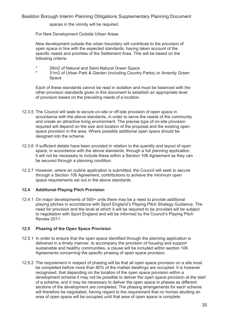spaces in the vicinity will be required.

For New Development Outside Urban Areas

 New development outside the urban boundary will contribute to the provision of open space in line with the expected standards, having taken account of the specific needs and priorities of the Settlement Area. This will be based on the following criteria:

- \* 26m2 of Natural and Semi-Natural Green Space
- 31m2 of Urban Park & Garden (including Country Parks) or Amenity Green Space

 Each of these standards cannot be read in isolation and must be balanced with the other provision standards given in this document to establish an appropriate level of provision based on the prevailing needs of a location.

- 12.3.5 The Council will seek to secure on-site or off-site provision of open space in accordance with the above standards, in order to serve the needs of the community and create an attractive living environment. The precise type of on-site provision required will depend on the size and location of the proposal and the existing open space provision in the area. Where possible additional open space should be designed into the scheme.
- 12.3.6 If sufficient details have been provided in relation to the quantity and layout of open space, in accordance with the above standards, through a full planning application, it will not be necessary to include these within a Section 106 Agreement as they can be secured through a planning condition.
- 12.3.7 However, where an outline application is submitted, the Council will seek to secure through a Section 106 Agreement, contributions to achieve the minimum open space requirements set out in the above standards.

#### **12.4 Additional Playing Pitch Provision**

12.4.1 On major developments of 500+ units there may be a need to provide additional playing pitches in accordance with Sport England's Playing Pitch Strategy Guidance. The need for provision and the level at which it will be required to be provided will be subject to negotiation with Sport England and will be informed by the Council's Playing Pitch Review 2011.

#### **12.5 Phasing of the Open Space Provision**

- 12.5.1 In order to ensure that the open space identified through the planning application is delivered in a timely manner, to accompany the provision of housing and support sustainable and healthy communities, a clause will be included within section 106 Agreements concerning the specific phasing of open space provision.
- 12.5.2 The requirement in respect of phasing will be that all open space provision on a site must be completed before more than 80% of the market dwellings are occupied. It is however recognised, that depending on the location of the open space provision within a development scheme it may not be possible to deliver the open space provision at the start of a scheme, and it may be necessary to deliver the open space in phases as different sections of the development are completed. The phasing arrangements for each scheme will therefore be negotiated, having regard to the requirement that no homes abutting an area of open space will be occupied until that area of open space is complete.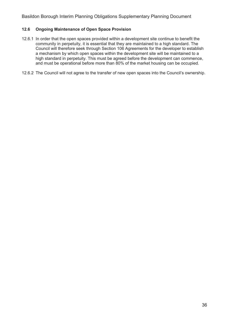#### **12.6 Ongoing Maintenance of Open Space Provision**

- 12.6.1 In order that the open spaces provided within a development site continue to benefit the community in perpetuity, it is essential that they are maintained to a high standard. The Council will therefore seek through Section 106 Agreements for the developer to establish a mechanism by which open spaces within the development site will be maintained to a high standard in perpetuity. This must be agreed before the development can commence, and must be operational before more than 80% of the market housing can be occupied.
- 12.6.2 The Council will not agree to the transfer of new open spaces into the Council's ownership.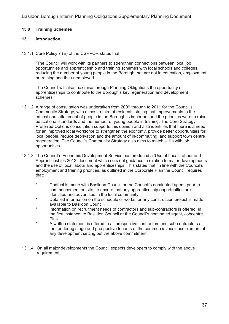#### **13.0 Training Schemes**

#### **13.1 Introduction**

13.1.1 Core Policy 7 (E) of the CSRPOR states that:

 "The Council will work with its partners to strengthen connections between local job opportunities and apprenticeship and training schemes with local schools and colleges, reducing the number of young people in the Borough that are not in education, employment or training and the unemployed.

 The Council will also maximise through Planning Obligations the opportunity of apprenticeships to contribute to the Borough's key regeneration and development schemes."

- 13.1.2 A range of consultation was undertaken from 2009 through to 2011 for the Council's Community Strategy, with almost a third of residents stating that improvements to the educational attainment of people in the Borough is important and the priorities were to raise educational standards and the number of young people in training. The Core Strategy Preferred Options consultation supports this opinion and also identifies that there is a need for an improved local workforce to strengthen the economy, provide better opportunities for local people, reduce deprivation and the amount of in-commuting, and support town centre regeneration. The Council's Community Strategy also aims to match skills with job opportunities.
- 13.1.3 The Council's Economic Development Service has produced a 'Use of Local Labour and Apprenticeships 2013' document which sets out guidance in relation to major developments and the use of local labour and apprenticeships. This states that, in line with the Council's employment and training priorities, as outlined in the Corporate Plan the Council requires that:
	- \* Contact is made with Basildon Council or the Council's nominated agent, prior to commencement on site, to ensure that any apprenticeship opportunities are identified and advertised in the local community.
	- Detailed information on the schedule or works for any construction project is made available to Basildon Council.
	- Information on recruitment needs of contractors and sub-contractors is offered, in the first instance, to Basildon Council or the Council's nominated agent, Jobcentre Plus.
	- A written statement is offered to all prospective contractors and sub-contractors at the tendering stage and prospective tenants of the commercial/business element of any development setting out the above commitment.
- 13.1.4 On all major developments the Council expects developers to comply with the above requirements.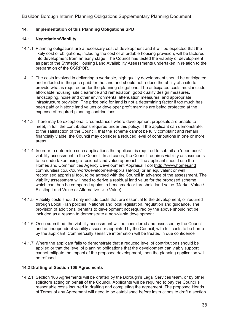#### **14. Implementation of this Planning Obligations SPD**

#### **14.1 Negotiation/Viability**

- 14.1.1 Planning obligations are a necessary cost of development and it will be expected that the likely cost of obligations, including the cost of affordable housing provision, will be factored into development from an early stage. The Council has tested the viability of development as part of the Strategic Housing Land Availability Assessments undertaken in relation to the preparation of the CSRPOR.
- 14.1.2 The costs involved in delivering a workable, high quality development should be anticipated and reflected in the price paid for the land and should not reduce the ability of a site to provide what is required under the planning obligations. The anticipated costs must include affordable housing, site clearance and remediation, good quality design measures, landscaping, noise and other environmental attenuation measures, and appropriate infrastructure provision. The price paid for land is not a determining factor if too much has been paid or historic land values or developer profit margins are being protected at the expense of required planning contributions.
- 14.1.3 There may be exceptional circumstances where development proposals are unable to meet, in full, the contributions required under this policy. If the applicant can demonstrate, to the satisfaction of the Council, that the scheme cannot be fully complaint and remain financially viable, the Council may consider a reduced level of contributions in one or more areas.
- 14.1.4 In order to determine such applications the applicant is required to submit an 'open book' viability assessment to the Council. In all cases, the Council requires viability assessments to be undertaken using a residual land value approach. The applicant should use the Homes and Communities Agency Development Appraisal Tool (http://www.homesand communities.co.uk/ourwork/development-appraisal-tool) or an equivalent or well recognised appraisal tool, to be agreed with the Council in advance of the assessment. The viability assessment will need to derive a residual land value for the proposed scheme, which can then be compared against a benchmark or threshold land value (Market Value / Existing Land Value or Alternative Use Value)
- 14.1.5 Viability costs should only include costs that are essential to the development, or required through Local Plan policies, National and local legislation, regulation and guidance. The provision of additional benefits to development not required by the above should not be included as a reason to demonstrate a non-viable development.
- 14.1.6 Once submitted, the viability assessment will be considered and assessed by the Council and an independent viability assessor appointed by the Council, with full costs to be borne by the applicant. Commercially sensitive information will be treated in due confidence
- 14.1.7 Where the applicant fails to demonstrate that a reduced level of contributions should be applied or that the level of planning obligations that the development can viably support cannot mitigate the impact of the proposed development, then the planning application will be refused.

#### **14.2 Drafting of Section 106 Agreements**

14.2.1 Section 106 Agreements will be drafted by the Borough's Legal Services team, or by other solicitors acting on behalf of the Council. Applicants will be required to pay the Council's reasonable costs incurred in drafting and completing the agreement. The proposed Heads of Terms of any Agreement will need to be established before instructions to draft a section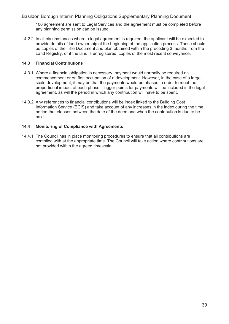106 agreement are sent to Legal Services and the agreement must be completed before any planning permission can be issued.

14.2.2 In all circumstances where a legal agreement is required, the applicant will be expected to provide details of land ownership at the beginning of the application process. These should be copies of the Title Document and plan obtained within the preceding 3 months from the Land Registry, or if the land is unregistered, copies of the most recent conveyance.

#### **14.3 Financial Contributions**

- 14.3.1. Where a financial obligation is necessary, payment would normally be required on commencement or on first occupation of a development. However, in the case of a largescale development, it may be that the payments would be phased in order to meet the proportional impact of each phase. Trigger points for payments will be included in the legal agreement, as will the period in which any contribution will have to be spent.
- 14.3.2 Any references to financial contributions will be index linked to the Building Cost Information Service (BCIS) and take account of any increases in the index during the time period that elapses between the date of the deed and when the contribution is due to be paid.

#### **14.4 Monitoring of Compliance with Agreements**

14.4.1 The Council has in place monitoring procedures to ensure that all contributions are complied with at the appropriate time. The Council will take action where contributions are not provided within the agreed timescale.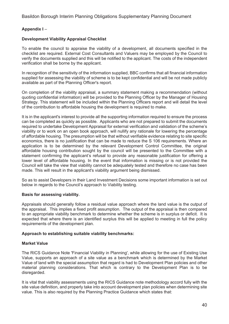#### **Appendix I** –

#### **Development Viability Appraisal Checklist**

To enable the council to appraise the viability of a development, all documents specified in the checklist are required. External Cost Consultants and Valuers may be employed by the Council to verify the documents supplied and this will be notified to the applicant. The costs of the independent verification shall be borne by the applicant.

In recognition of the sensitivity of the information supplied, BBC confirms that all financial information supplied for assessing the viability of scheme is to be kept confidential and will be not made publicly available as part of the Planning Officer's report.

On completion of the viability appraisal, a summary statement making a recommendation (without quoting confidential information) will be provided to the Planning Officer by the Manager of Housing Strategy. This statement will be included within the Planning Officers report and will detail the level of the contribution to affordable housing the development is required to make.

It is in the applicant's interest to provide all the supporting information required to ensure the process can be completed as quickly as possible. Applicants who are not prepared to submit the documents required to undertake Development Appraisal for external verification and validation of the scheme's viability or to work on an open book approach, will nullify any rationale for lowering the percentage of affordable housing. The presumption will be that without verifiable evidence relating to site specific economics, there is no justification that can be made to reduce the S 106 requirements. Where an application is to be determined by the relevant Development Control Committee, the original affordable housing contribution sought by the council will be presented to the Committee with a statement confirming the applicant's refusal to provide any reasonable justification for offering a lower level of affordable housing. In the event that information is missing or is not provided the Council will take the view that viability cannot be adequately tested and therefore no case has been made. This will result in the applicant's viability argument being dismissed.

So as to assist Developers in their Land Investment Decisions some important information is set out below in regards to the Council's approach to Viability testing.

#### **Basis for assessing viability.**

Appraisals should generally follow a residual value approach where the land value is the output of the appraisal. This implies a fixed profit assumption. The output of the appraisal is then compared to an appropriate viability benchmark to determine whether the scheme is in surplus or deficit. It is expected that where there is an identified surplus this will be applied to meeting in full the policy requirements of the development plan.

#### **Approach to establishing suitable viability benchmarks:**

#### **Market Value**

The RICS Guidance Note 'Financial Viability in Planning', while allowing for the use of Existing Use Value, supports an approach of a site value as a benchmark which is determined by the Market Value of land with the special assumption that regard is had to Development Plan policies and other material planning considerations. That which is contrary to the Development Plan is to be disregarded.

It is vital that viability assessments using the RICS Guidance note methodology accord fully with the site value definition, and properly take into account development plan policies when determining site value. This is also required by the Planning Practice Guidance which states that: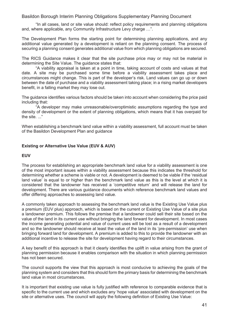"In all cases, land or site value should: reflect policy requirements and planning obligations and, where applicable, any Community Infrastructure Levy charge ...".

The Development Plan forms the starting point for determining planning applications, and any additional value generated by a development is reliant on the planning consent. The process of securing a planning consent generates additional value from which planning obligations are secured.

The RICS Guidance makes it clear that the site purchase price may or may not be material in determining the Site Value. The guidance states that:

 "A viability appraisal is taken at a point in time, taking account of costs and values at that date. A site may be purchased some time before a viability assessment takes place and circumstances might change. This is part of the developer's risk. Land values can go up or down between the date of purchase and a viability assessment taking place; in a rising market developers benefit, in a falling market they may lose out.

The guidance identifies various factors should be taken into account when considering the price paid including that:

"A developer may make unreasonable/overoptimistic assumptions regarding the type and density of development or the extent of planning obligations, which means that it has overpaid for the site. ..."

When establishing a benchmark land value within a viability assessment, full account must be taken of the Basildon Development Plan and guidance

#### **Existing or Alternative Use Value (EUV & AUV)**

#### **EUV**

The process for establishing an appropriate benchmark land value for a viability assessment is one of the most important issues within a viability assessment because this indicates the threshold for determining whether a scheme is viable or not. A development is deemed to be viable if the 'residual land value' is equal to or higher than the benchmark land value as this is the level at which it is considered that the landowner has received a 'competitive return' and will release the land for development. There are various guidance documents which reference benchmark land values and offer differing approaches to assessing land value.

A commonly taken approach to assessing the benchmark land value is the Existing Use Value plus a premium (EUV plus) approach, which is based on the current or Existing Use Value of a site plus a landowner premium. This follows the premise that a landowner could sell their site based on the value of the land in its current use without bringing the land forward for development. In most cases the income generating potential and value of current uses will be lost as a result of a development and so the landowner should receive at least the value of the land in its 'pre-permission' use when bringing forward land for development. A premium is added to this to provide the landowner with an additional incentive to release the site for development having regard to their circumstances.

A key benefit of this approach is that it clearly identifies the uplift in value arising from the grant of planning permission because it enables comparison with the situation in which planning permission has not been secured.

The council supports the view that this approach is most conducive to achieving the goals of the planning system and considers that this should form the primary basis for determining the benchmark land value in most circumstances.

It is important that existing use value is fully justified with reference to comparable evidence that is specific to the current use and which excludes any 'hope value' associated with development on the site or alternative uses. The council will apply the following definition of Existing Use Value: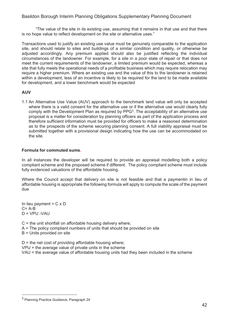"The value of the site in its existing use, assuming that it remains in that use and that there is no hope value to reflect development on the site or alternative uses."

Transactions used to justify an existing use value must be genuinely comparable to the application site, and should relate to sites and buildings of a similar condition and quality, or otherwise be adjusted accordingly. Any premium applied should also be justified reflecting the individual circumstances of the landowner. For example, for a site in a poor state of repair or that does not meet the current requirements of the landowner, a limited premium would be expected, whereas a site that fully meets the operational needs of a profitable business which may require relocation may require a higher premium. Where an existing use and the value of this to the landowner is retained within a development, less of an incentive is likely to be required for the land to be made available for development, and a lower benchmark would be expected

#### **AUV**

1.1 An Alternative Use Value (AUV) approach to the benchmark land value will only be accepted where there is a valid consent for the alternative use or if the alternative use would clearly fully comply with the Development Plan as required by  $PPG<sup>3</sup>$ . The acceptability of an alternative use proposal is a matter for consideration by planning officers as part of the application process and therefore sufficient information must be provided for officers to make a reasoned determination as to the prospects of the scheme securing planning consent. A full viability appraisal must be submitted together with a provisional design indicating how the use can be accommodated on the site.

#### **Formula for commuted sums.**

In all instances the developer will be required to provide an appraisal modelling both a policy compliant scheme and the proposed scheme if different. The policy compliant scheme must include fully evidenced valuations of the affordable housing.

Where the Council accept that delivery on site is not feasible and that a paymentin in lieu of affordable housing is appropriate the following formula will apply to compute the scale of the payment due

In lieu payment =  $C \times D$  $C = A-B$  $D = VPU - VAU$ 

 $C =$  the unit shortfall on affordable housing delivery where;  $A =$ The policy compliant numbers of units that should be provided on site B = Units provided on site

 $D =$  the net cost of providing affordable housing where; VPU = the average value of private units in the scheme VAU = the average value of affordable housing units had they been included in the scheme

<sup>&</sup>lt;sup>3</sup> Planning Practice Guidance, Paragraph 24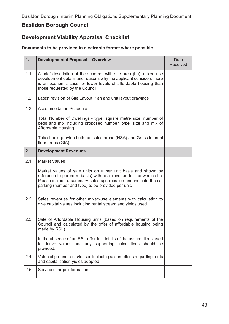# **Basildon Borough Council**

# **Development Viability Appraisal Checklist**

### **Documents to be provided in electronic format where possible**

| 1.  | <b>Developmental Proposal - Overview</b>                                                                                                                                                                                                                       | Date<br>Received |
|-----|----------------------------------------------------------------------------------------------------------------------------------------------------------------------------------------------------------------------------------------------------------------|------------------|
| 1.1 | A brief description of the scheme, with site area (ha), mixed use<br>development details and reasons why the applicant considers there<br>is an economic case for lower levels of affordable housing than<br>those requested by the Council.                   |                  |
| 1.2 | Latest revision of Site Layout Plan and unit layout drawings                                                                                                                                                                                                   |                  |
| 1.3 | <b>Accommodation Schedule</b>                                                                                                                                                                                                                                  |                  |
|     | Total Number of Dwellings - type, square metre size, number of<br>beds and mix including proposed number, type, size and mix of<br>Affordable Housing.                                                                                                         |                  |
|     | This should provide both net sales areas (NSA) and Gross internal<br>floor areas (GIA)                                                                                                                                                                         |                  |
| 2.  | <b>Development Revenues</b>                                                                                                                                                                                                                                    |                  |
| 2.1 | <b>Market Values</b>                                                                                                                                                                                                                                           |                  |
|     | Market values of sale units on a per unit basis and shown by<br>reference to per sq m basis) with total revenue for the whole site.<br>Please include a summary sales specification and indicate the car<br>parking (number and type) to be provided per unit. |                  |
| 2.2 | Sales revenues for other mixed-use elements with calculation to<br>give capital values including rental stream and yields used.                                                                                                                                |                  |
| 2.3 | Sale of Affordable Housing units (based on requirements of the<br>Council and calculated by the offer of affordable housing being<br>made by RSL)                                                                                                              |                  |
|     | In the absence of an RSL offer full details of the assumptions used<br>to derive values and any supporting calculations should be<br>provided.                                                                                                                 |                  |
| 2.4 | Value of ground rents/leases including assumptions regarding rents<br>and capitalisation yields adopted                                                                                                                                                        |                  |
| 2.5 | Service charge information                                                                                                                                                                                                                                     |                  |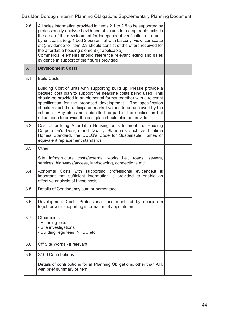| 2.6  | All sales information provided in items 2.1 to 2.5 to be supported by<br>professionally analysed evidence of values for comparable units in<br>the area of the development for independent verification on a unit-<br>by-unit basis (e.g. 1 bed 2 person flat with balcony, view, car space<br>etc). Evidence for item 2.3 should consist of the offers received for<br>the affordable housing element (if applicable).<br>Commercial elements should reference relevant letting and sales<br>evidence in support of the figures provided |  |
|------|-------------------------------------------------------------------------------------------------------------------------------------------------------------------------------------------------------------------------------------------------------------------------------------------------------------------------------------------------------------------------------------------------------------------------------------------------------------------------------------------------------------------------------------------|--|
| 3.   | <b>Development Costs</b>                                                                                                                                                                                                                                                                                                                                                                                                                                                                                                                  |  |
| 3.1  | <b>Build Costs</b>                                                                                                                                                                                                                                                                                                                                                                                                                                                                                                                        |  |
|      | Building Cost of units with supporting build up. Please provide a<br>detailed cost plan to support the headline costs being used. This<br>should be provided in an elemental format together with a relevant<br>specification for the proposed development. The specification<br>should reflect the anticipated market values to be achieved by the<br>scheme. Any plans not submitted as part of the application but<br>relied upon to provide the cost plan should also be provided                                                     |  |
| 3.2  | Cost of building Affordable Housing units to meet the Housing<br>Corporation's Design and Quality Standards such as Lifetime<br>Homes Standard, the DCLG's Code for Sustainable Homes or<br>equivalent replacement standards.                                                                                                                                                                                                                                                                                                             |  |
| 3.3. | Other                                                                                                                                                                                                                                                                                                                                                                                                                                                                                                                                     |  |
|      | Site infrastructure costs/external works i.e., roads, sewers,<br>services, highways/access, landscaping, connections etc.                                                                                                                                                                                                                                                                                                                                                                                                                 |  |
| 3.4  | Abnormal Costs with supporting professional evidence.it is<br>important that sufficient information is provided to enable an<br>effective analysis of these costs                                                                                                                                                                                                                                                                                                                                                                         |  |
| 3.5  | Details of Contingency sum or percentage.                                                                                                                                                                                                                                                                                                                                                                                                                                                                                                 |  |
| 3.6  | Development Costs Professional fees identified by specialism<br>together with supporting information of appointment.                                                                                                                                                                                                                                                                                                                                                                                                                      |  |
| 3.7  | Other costs<br>- Planning fees<br>- Site investigations<br>- Building regs fees, NHBC etc                                                                                                                                                                                                                                                                                                                                                                                                                                                 |  |
| 3.8  | Off Site Works - if relevant                                                                                                                                                                                                                                                                                                                                                                                                                                                                                                              |  |
| 3.9  | S <sub>106</sub> Contributions                                                                                                                                                                                                                                                                                                                                                                                                                                                                                                            |  |
|      | Details of contributions for all Planning Obligations, other than AH,<br>with brief summary of item.                                                                                                                                                                                                                                                                                                                                                                                                                                      |  |